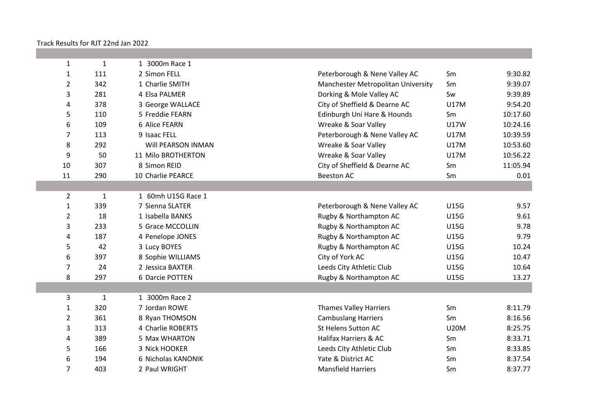Track Results for RJT 22nd Jan 2022

| 1              | $\mathbf{1}$ | 1 3000m Race 1     |                                    |             |          |
|----------------|--------------|--------------------|------------------------------------|-------------|----------|
| $\mathbf{1}$   | 111          | 2 Simon FELL       | Peterborough & Nene Valley AC      | Sm          | 9:30.82  |
| $\overline{2}$ | 342          | 1 Charlie SMITH    | Manchester Metropolitan University | Sm          | 9:39.07  |
| 3              | 281          | 4 Elsa PALMER      | Dorking & Mole Valley AC           | Sw          | 9:39.89  |
| 4              | 378          | 3 George WALLACE   | City of Sheffield & Dearne AC      | U17M        | 9:54.20  |
| 5              | 110          | 5 Freddie FEARN    | Edinburgh Uni Hare & Hounds        | Sm          | 10:17.60 |
| 6              | 109          | 6 Alice FEARN      | Wreake & Soar Valley               | U17W        | 10:24.16 |
| 7              | 113          | 9 Isaac FELL       | Peterborough & Nene Valley AC      | U17M        | 10:39.59 |
| 8              | 292          | Will PEARSON INMAN | Wreake & Soar Valley               | <b>U17M</b> | 10:53.60 |
| 9              | 50           | 11 Milo BROTHERTON | Wreake & Soar Valley               | U17M        | 10:56.22 |
| 10             | 307          | 8 Simon REID       | City of Sheffield & Dearne AC      | Sm          | 11:05.94 |
| 11             | 290          | 10 Charlie PEARCE  | <b>Beeston AC</b>                  | Sm          | 0.01     |
|                |              |                    |                                    |             |          |
| $\overline{2}$ | $\mathbf{1}$ | 1 60mh U15G Race 1 |                                    |             |          |
| $\mathbf{1}$   | 339          | 7 Sienna SLATER    | Peterborough & Nene Valley AC      | <b>U15G</b> | 9.57     |
| $\overline{2}$ | 18           | 1 Isabella BANKS   | Rugby & Northampton AC             | <b>U15G</b> | 9.61     |
| 3              | 233          | 5 Grace MCCOLLIN   | Rugby & Northampton AC             | <b>U15G</b> | 9.78     |
| 4              | 187          | 4 Penelope JONES   | Rugby & Northampton AC             | <b>U15G</b> | 9.79     |
| 5              | 42           | 3 Lucy BOYES       | Rugby & Northampton AC             | <b>U15G</b> | 10.24    |
| 6              | 397          | 8 Sophie WILLIAMS  | City of York AC                    | <b>U15G</b> | 10.47    |
| 7              | 24           | 2 Jessica BAXTER   | Leeds City Athletic Club           | <b>U15G</b> | 10.64    |
| 8              | 297          | 6 Darcie POTTEN    | Rugby & Northampton AC             | <b>U15G</b> | 13.27    |
|                |              |                    |                                    |             |          |
| 3              | $\mathbf{1}$ | 1 3000m Race 2     |                                    |             |          |
| $\mathbf{1}$   | 320          | 7 Jordan ROWE      | <b>Thames Valley Harriers</b>      | Sm          | 8:11.79  |
| $\overline{2}$ | 361          | 8 Ryan THOMSON     | <b>Cambuslang Harriers</b>         | Sm          | 8:16.56  |
| 3              | 313          | 4 Charlie ROBERTS  | St Helens Sutton AC                | <b>U20M</b> | 8:25.75  |
| 4              | 389          | 5 Max WHARTON      | Halifax Harriers & AC              | Sm          | 8:33.71  |
| 5              | 166          | 3 Nick HOOKER      | Leeds City Athletic Club           | Sm          | 8:33.85  |
| 6              | 194          | 6 Nicholas KANONIK | Yate & District AC                 | Sm          | 8:37.54  |
| $\overline{7}$ | 403          | 2 Paul WRIGHT      | <b>Mansfield Harriers</b>          | Sm          | 8:37.77  |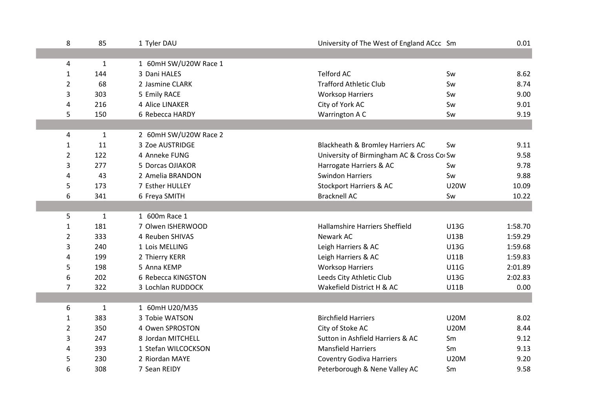| 8              | 85           | 1 Tyler DAU           | University of The West of England ACcc Sm |             | 0.01    |
|----------------|--------------|-----------------------|-------------------------------------------|-------------|---------|
|                |              |                       |                                           |             |         |
| 4              | $\mathbf{1}$ | 1 60mH SW/U20W Race 1 |                                           |             |         |
| $\mathbf{1}$   | 144          | 3 Dani HALES          | <b>Telford AC</b>                         | Sw          | 8.62    |
| 2              | 68           | 2 Jasmine CLARK       | <b>Trafford Athletic Club</b>             | Sw          | 8.74    |
| 3              | 303          | 5 Emily RACE          | <b>Worksop Harriers</b>                   | Sw          | 9.00    |
| 4              | 216          | 4 Alice LINAKER       | City of York AC                           | Sw          | 9.01    |
| 5              | 150          | 6 Rebecca HARDY       | Warrington A C                            | Sw          | 9.19    |
|                |              |                       |                                           |             |         |
| 4              | $\mathbf{1}$ | 2 60mH SW/U20W Race 2 |                                           |             |         |
| $\mathbf{1}$   | 11           | 3 Zoe AUSTRIDGE       | Blackheath & Bromley Harriers AC          | Sw          | 9.11    |
| $\overline{2}$ | 122          | 4 Anneke FUNG         | University of Birmingham AC & Cross CorSw |             | 9.58    |
| 3              | 277          | 5 Dorcas OJIAKOR      | Harrogate Harriers & AC                   | Sw          | 9.78    |
| 4              | 43           | 2 Amelia BRANDON      | <b>Swindon Harriers</b>                   | Sw          | 9.88    |
| 5              | 173          | 7 Esther HULLEY       | <b>Stockport Harriers &amp; AC</b>        | <b>U20W</b> | 10.09   |
| 6              | 341          | 6 Freya SMITH         | <b>Bracknell AC</b>                       | Sw          | 10.22   |
|                |              |                       |                                           |             |         |
| 5              | $\mathbf{1}$ | 1 600m Race 1         |                                           |             |         |
| $\mathbf{1}$   | 181          | 7 Olwen ISHERWOOD     | Hallamshire Harriers Sheffield            | <b>U13G</b> | 1:58.70 |
| $\overline{2}$ | 333          | 4 Reuben SHIVAS       | Newark AC                                 | <b>U13B</b> | 1:59.29 |
| 3              | 240          | 1 Lois MELLING        | Leigh Harriers & AC                       | U13G        | 1:59.68 |
| 4              | 199          | 2 Thierry KERR        | Leigh Harriers & AC                       | <b>U11B</b> | 1:59.83 |
| 5              | 198          | 5 Anna KEMP           | <b>Worksop Harriers</b>                   | <b>U11G</b> | 2:01.89 |
| 6              | 202          | 6 Rebecca KINGSTON    | Leeds City Athletic Club                  | U13G        | 2:02.83 |
| 7              | 322          | 3 Lochlan RUDDOCK     | Wakefield District H & AC                 | <b>U11B</b> | 0.00    |
|                |              |                       |                                           |             |         |
| 6              | 1            | 1 60mH U20/M35        |                                           |             |         |
| 1              | 383          | 3 Tobie WATSON        | <b>Birchfield Harriers</b>                | <b>U20M</b> | 8.02    |
| 2              | 350          | 4 Owen SPROSTON       | City of Stoke AC                          | <b>U20M</b> | 8.44    |
| 3              | 247          | 8 Jordan MITCHELL     | Sutton in Ashfield Harriers & AC          | Sm          | 9.12    |
| 4              | 393          | 1 Stefan WILCOCKSON   | <b>Mansfield Harriers</b>                 | Sm          | 9.13    |
| 5              | 230          | 2 Riordan MAYE        | <b>Coventry Godiva Harriers</b>           | <b>U20M</b> | 9.20    |
| 6              | 308          | 7 Sean REIDY          | Peterborough & Nene Valley AC             | Sm          | 9.58    |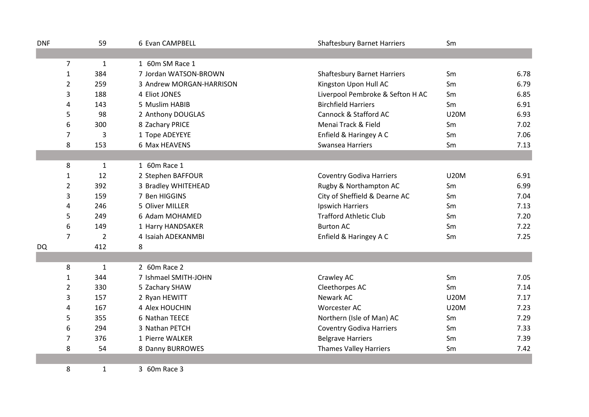| <b>DNF</b> |                | 59             | 6 Evan CAMPBELL          | <b>Shaftesbury Barnet Harriers</b> | Sm          |      |
|------------|----------------|----------------|--------------------------|------------------------------------|-------------|------|
|            |                |                |                          |                                    |             |      |
|            | $\overline{7}$ | $\mathbf{1}$   | 1 60m SM Race 1          |                                    |             |      |
|            | $\mathbf{1}$   | 384            | 7 Jordan WATSON-BROWN    | <b>Shaftesbury Barnet Harriers</b> | Sm          | 6.78 |
|            | $\overline{2}$ | 259            | 3 Andrew MORGAN-HARRISON | Kingston Upon Hull AC              | Sm          | 6.79 |
|            | 3              | 188            | 4 Eliot JONES            | Liverpool Pembroke & Sefton H AC   | Sm          | 6.85 |
|            | 4              | 143            | 5 Muslim HABIB           | <b>Birchfield Harriers</b>         | Sm          | 6.91 |
|            | 5              | 98             | 2 Anthony DOUGLAS        | Cannock & Stafford AC              | <b>U20M</b> | 6.93 |
|            | 6              | 300            | 8 Zachary PRICE          | Menai Track & Field                | Sm          | 7.02 |
|            | 7              | 3              | 1 Tope ADEYEYE           | Enfield & Haringey A C             | Sm          | 7.06 |
|            | 8              | 153            | 6 Max HEAVENS            | Swansea Harriers                   | Sm          | 7.13 |
|            |                |                |                          |                                    |             |      |
|            | 8              | $\mathbf{1}$   | 1 60m Race 1             |                                    |             |      |
|            | 1              | 12             | 2 Stephen BAFFOUR        | <b>Coventry Godiva Harriers</b>    | <b>U20M</b> | 6.91 |
|            | $\overline{2}$ | 392            | 3 Bradley WHITEHEAD      | Rugby & Northampton AC             | Sm          | 6.99 |
|            | 3              | 159            | 7 Ben HIGGINS            | City of Sheffield & Dearne AC      | Sm          | 7.04 |
|            | 4              | 246            | 5 Oliver MILLER          | Ipswich Harriers                   | Sm          | 7.13 |
|            | 5              | 249            | 6 Adam MOHAMED           | <b>Trafford Athletic Club</b>      | Sm          | 7.20 |
|            | 6              | 149            | 1 Harry HANDSAKER        | <b>Burton AC</b>                   | Sm          | 7.22 |
|            | $\overline{7}$ | $\overline{2}$ | 4 Isaiah ADEKANMBI       | Enfield & Haringey A C             | Sm          | 7.25 |
| <b>DQ</b>  |                | 412            | 8                        |                                    |             |      |
|            |                |                |                          |                                    |             |      |
|            | 8              | $\mathbf{1}$   | 2 60m Race 2             |                                    |             |      |
|            | $\mathbf{1}$   | 344            | 7 Ishmael SMITH-JOHN     | Crawley AC                         | Sm          | 7.05 |
|            | $\overline{2}$ | 330            | 5 Zachary SHAW           | Cleethorpes AC                     | Sm          | 7.14 |
|            | 3              | 157            | 2 Ryan HEWITT            | Newark AC                          | <b>U20M</b> | 7.17 |
|            | 4              | 167            | 4 Alex HOUCHIN           | Worcester AC                       | <b>U20M</b> | 7.23 |
|            | 5              | 355            | 6 Nathan TEECE           | Northern (Isle of Man) AC          | Sm          | 7.29 |
|            | 6              | 294            | 3 Nathan PETCH           | <b>Coventry Godiva Harriers</b>    | Sm          | 7.33 |
|            | 7              | 376            | 1 Pierre WALKER          | <b>Belgrave Harriers</b>           | Sm          | 7.39 |
|            | 8              | 54             | 8 Danny BURROWES         | <b>Thames Valley Harriers</b>      | Sm          | 7.42 |
|            |                |                |                          |                                    |             |      |
|            | 8              | $\mathbf{1}$   | 3 60m Race 3             |                                    |             |      |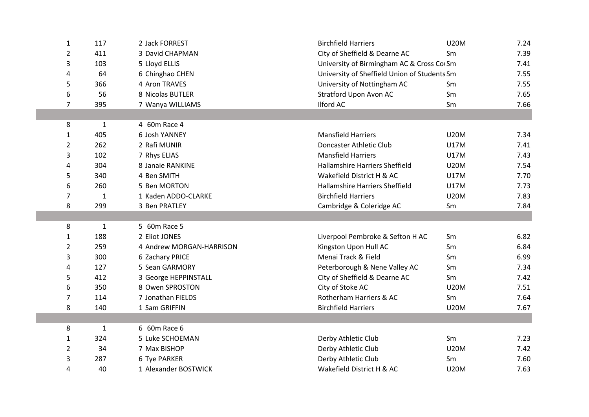|                | 117          | 2 Jack FORREST           | <b>Birchfield Harriers</b>                   | <b>U20M</b> |      |
|----------------|--------------|--------------------------|----------------------------------------------|-------------|------|
| $\mathbf{1}$   |              |                          |                                              |             | 7.24 |
| 2              | 411          | 3 David CHAPMAN          | City of Sheffield & Dearne AC                | Sm          | 7.39 |
| 3              | 103          | 5 Lloyd ELLIS            | University of Birmingham AC & Cross Co Sm    |             | 7.41 |
| 4              | 64           | 6 Chinghao CHEN          | University of Sheffield Union of Students Sm |             | 7.55 |
| 5              | 366          | 4 Aron TRAVES            | University of Nottingham AC                  | Sm          | 7.55 |
| 6              | 56           | 8 Nicolas BUTLER         | Stratford Upon Avon AC                       | Sm          | 7.65 |
| 7              | 395          | 7 Wanya WILLIAMS         | <b>Ilford AC</b>                             | Sm          | 7.66 |
|                |              |                          |                                              |             |      |
| 8              | 1            | 4 60m Race 4             |                                              |             |      |
| 1              | 405          | 6 Josh YANNEY            | <b>Mansfield Harriers</b>                    | <b>U20M</b> | 7.34 |
| 2              | 262          | 2 Rafi MUNIR             | Doncaster Athletic Club                      | <b>U17M</b> | 7.41 |
| 3              | 102          | 7 Rhys ELIAS             | <b>Mansfield Harriers</b>                    | <b>U17M</b> | 7.43 |
| 4              | 304          | 8 Janaie RANKINE         | <b>Hallamshire Harriers Sheffield</b>        | <b>U20M</b> | 7.54 |
| 5              | 340          | 4 Ben SMITH              | Wakefield District H & AC                    | <b>U17M</b> | 7.70 |
| 6              | 260          | 5 Ben MORTON             | <b>Hallamshire Harriers Sheffield</b>        | <b>U17M</b> | 7.73 |
| 7              | $\mathbf{1}$ | 1 Kaden ADDO-CLARKE      | <b>Birchfield Harriers</b>                   | <b>U20M</b> | 7.83 |
| 8              | 299          | 3 Ben PRATLEY            | Cambridge & Coleridge AC                     | Sm          | 7.84 |
|                |              |                          |                                              |             |      |
| 8              | $\mathbf{1}$ | 5 60m Race 5             |                                              |             |      |
| $\mathbf{1}$   | 188          | 2 Eliot JONES            | Liverpool Pembroke & Sefton H AC             | Sm          | 6.82 |
| $\overline{2}$ | 259          | 4 Andrew MORGAN-HARRISON | Kingston Upon Hull AC                        | Sm          | 6.84 |
| 3              | 300          | 6 Zachary PRICE          | Menai Track & Field                          | Sm          | 6.99 |
| 4              | 127          | 5 Sean GARMORY           | Peterborough & Nene Valley AC                | Sm          | 7.34 |
| 5              | 412          | 3 George HEPPINSTALL     | City of Sheffield & Dearne AC                | Sm          | 7.42 |
| 6              | 350          | 8 Owen SPROSTON          | City of Stoke AC                             | <b>U20M</b> | 7.51 |
| 7              | 114          | 7 Jonathan FIELDS        | Rotherham Harriers & AC                      | Sm          | 7.64 |
| 8              | 140          | 1 Sam GRIFFIN            | <b>Birchfield Harriers</b>                   | <b>U20M</b> | 7.67 |
|                |              |                          |                                              |             |      |
| 8              | $\mathbf{1}$ | 6 60m Race 6             |                                              |             |      |
| 1              | 324          | 5 Luke SCHOEMAN          | Derby Athletic Club                          | Sm          | 7.23 |
| 2              | 34           | 7 Max BISHOP             | Derby Athletic Club                          | <b>U20M</b> | 7.42 |
| 3              | 287          | 6 Tye PARKER             | Derby Athletic Club                          | Sm          | 7.60 |
| 4              | 40           | 1 Alexander BOSTWICK     | Wakefield District H & AC                    | <b>U20M</b> | 7.63 |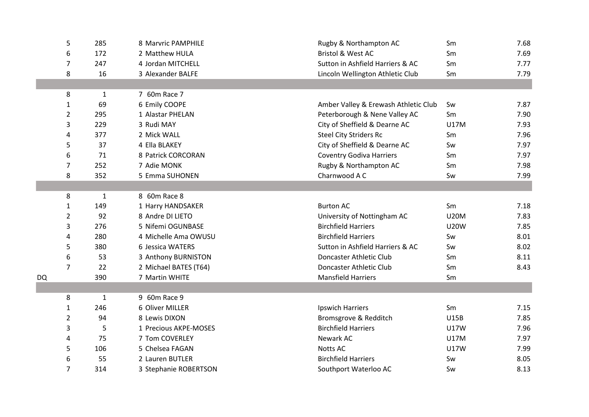|    | 5                   | 285                | 8 Marvric PAMPHILE    | Rugby & Northampton AC               | Sm          | 7.68 |
|----|---------------------|--------------------|-----------------------|--------------------------------------|-------------|------|
|    |                     | 172                | 2 Matthew HULA        | <b>Bristol &amp; West AC</b>         | Sm          | 7.69 |
|    | 6<br>$\overline{7}$ | 247                | 4 Jordan MITCHELL     | Sutton in Ashfield Harriers & AC     | Sm          | 7.77 |
|    |                     | 16                 | 3 Alexander BALFE     |                                      |             |      |
|    | 8                   |                    |                       | Lincoln Wellington Athletic Club     | Sm          | 7.79 |
|    |                     |                    | 7 60m Race 7          |                                      |             |      |
|    | 8                   | $\mathbf{1}$<br>69 |                       |                                      |             |      |
|    | $\mathbf{1}$        |                    | 6 Emily COOPE         | Amber Valley & Erewash Athletic Club | Sw          | 7.87 |
|    | $\overline{2}$      | 295                | 1 Alastar PHELAN      | Peterborough & Nene Valley AC        | Sm          | 7.90 |
|    | 3                   | 229                | 3 Rudi MAY            | City of Sheffield & Dearne AC        | <b>U17M</b> | 7.93 |
|    | 4                   | 377                | 2 Mick WALL           | <b>Steel City Striders Rc</b>        | Sm          | 7.96 |
|    | 5                   | 37                 | 4 Ella BLAKEY         | City of Sheffield & Dearne AC        | Sw          | 7.97 |
|    | 6                   | 71                 | 8 Patrick CORCORAN    | <b>Coventry Godiva Harriers</b>      | Sm          | 7.97 |
|    | $\overline{7}$      | 252                | 7 Adie MONK           | Rugby & Northampton AC               | Sm          | 7.98 |
|    | 8                   | 352                | 5 Emma SUHONEN        | Charnwood A C                        | Sw          | 7.99 |
|    |                     |                    |                       |                                      |             |      |
|    | 8                   | 1                  | 8 60m Race 8          |                                      |             |      |
|    | 1                   | 149                | 1 Harry HANDSAKER     | <b>Burton AC</b>                     | Sm          | 7.18 |
|    | $\overline{2}$      | 92                 | 8 Andre DI LIETO      | University of Nottingham AC          | <b>U20M</b> | 7.83 |
|    | 3                   | 276                | 5 Nifemi OGUNBASE     | <b>Birchfield Harriers</b>           | <b>U20W</b> | 7.85 |
|    | 4                   | 280                | 4 Michelle Ama OWUSU  | <b>Birchfield Harriers</b>           | Sw          | 8.01 |
|    | 5                   | 380                | 6 Jessica WATERS      | Sutton in Ashfield Harriers & AC     | Sw          | 8.02 |
|    | 6                   | 53                 | 3 Anthony BURNISTON   | Doncaster Athletic Club              | Sm          | 8.11 |
|    | $\overline{7}$      | 22                 | 2 Michael BATES (T64) | Doncaster Athletic Club              | Sm          | 8.43 |
| DQ |                     | 390                | 7 Martin WHITE        | <b>Mansfield Harriers</b>            | Sm          |      |
|    |                     |                    |                       |                                      |             |      |
|    | 8                   | $\mathbf{1}$       | 9 60m Race 9          |                                      |             |      |
|    | $\mathbf{1}$        | 246                | 6 Oliver MILLER       | <b>Ipswich Harriers</b>              | Sm          | 7.15 |
|    | 2                   | 94                 | 8 Lewis DIXON         | Bromsgrove & Redditch                | <b>U15B</b> | 7.85 |
|    | 3                   | 5                  | 1 Precious AKPE-MOSES | <b>Birchfield Harriers</b>           | U17W        | 7.96 |
|    | 4                   | 75                 | 7 Tom COVERLEY        | Newark AC                            | <b>U17M</b> | 7.97 |
|    | 5                   | 106                | 5 Chelsea FAGAN       | <b>Notts AC</b>                      | <b>U17W</b> | 7.99 |
|    | 6                   | 55                 | 2 Lauren BUTLER       | <b>Birchfield Harriers</b>           | Sw          | 8.05 |
|    | $\overline{7}$      | 314                | 3 Stephanie ROBERTSON | Southport Waterloo AC                | Sw          | 8.13 |
|    |                     |                    |                       |                                      |             |      |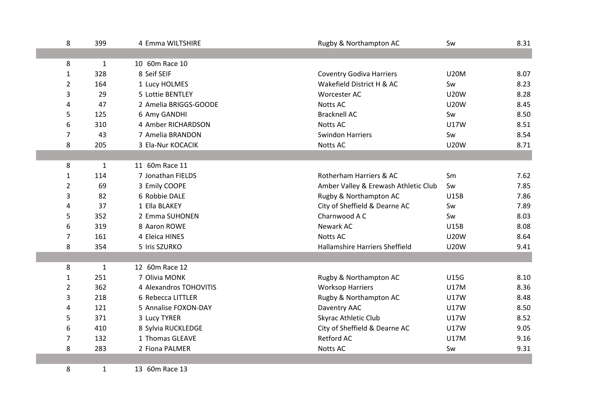| 8              | 399          | 4 Emma WILTSHIRE       | Rugby & Northampton AC               | Sw          | 8.31 |
|----------------|--------------|------------------------|--------------------------------------|-------------|------|
|                |              |                        |                                      |             |      |
| 8              | $\mathbf{1}$ | 10 60m Race 10         |                                      |             |      |
| $\mathbf{1}$   | 328          | 8 Seif SEIF            | <b>Coventry Godiva Harriers</b>      | <b>U20M</b> | 8.07 |
| $\overline{2}$ | 164          | 1 Lucy HOLMES          | Wakefield District H & AC            | Sw          | 8.23 |
| 3              | 29           | 5 Lottie BENTLEY       | Worcester AC                         | <b>U20W</b> | 8.28 |
| 4              | 47           | 2 Amelia BRIGGS-GOODE  | <b>Notts AC</b>                      | <b>U20W</b> | 8.45 |
| 5              | 125          | 6 Amy GANDHI           | <b>Bracknell AC</b>                  | Sw          | 8.50 |
| 6              | 310          | 4 Amber RICHARDSON     | <b>Notts AC</b>                      | <b>U17W</b> | 8.51 |
| 7              | 43           | 7 Amelia BRANDON       | <b>Swindon Harriers</b>              | Sw          | 8.54 |
| 8              | 205          | 3 Ela-Nur KOCACIK      | Notts AC                             | <b>U20W</b> | 8.71 |
|                |              |                        |                                      |             |      |
| 8              | $\mathbf{1}$ | 11 60m Race 11         |                                      |             |      |
| $\mathbf{1}$   | 114          | 7 Jonathan FIELDS      | Rotherham Harriers & AC              | Sm          | 7.62 |
| $\overline{2}$ | 69           | 3 Emily COOPE          | Amber Valley & Erewash Athletic Club | Sw          | 7.85 |
| 3              | 82           | 6 Robbie DALE          | Rugby & Northampton AC               | <b>U15B</b> | 7.86 |
| 4              | 37           | 1 Ella BLAKEY          | City of Sheffield & Dearne AC        | Sw          | 7.89 |
| 5              | 352          | 2 Emma SUHONEN         | Charnwood A C                        | Sw          | 8.03 |
| 6              | 319          | 8 Aaron ROWE           | Newark AC                            | <b>U15B</b> | 8.08 |
| 7              | 161          | 4 Eleica HINES         | <b>Notts AC</b>                      | <b>U20W</b> | 8.64 |
| 8              | 354          | 5 Iris SZURKO          | Hallamshire Harriers Sheffield       | <b>U20W</b> | 9.41 |
|                |              |                        |                                      |             |      |
| 8              | $\mathbf{1}$ | 12 60m Race 12         |                                      |             |      |
| 1              | 251          | 7 Olivia MONK          | Rugby & Northampton AC               | <b>U15G</b> | 8.10 |
| $\overline{2}$ | 362          | 4 Alexandros TOHOVITIS | <b>Worksop Harriers</b>              | <b>U17M</b> | 8.36 |
| 3              | 218          | 6 Rebecca LITTLER      | Rugby & Northampton AC               | <b>U17W</b> | 8.48 |
| 4              | 121          | 5 Annalise FOXON-DAY   | Daventry AAC                         | <b>U17W</b> | 8.50 |
| 5              | 371          | 3 Lucy TYRER           | Skyrac Athletic Club                 | <b>U17W</b> | 8.52 |
| 6              | 410          | 8 Sylvia RUCKLEDGE     | City of Sheffield & Dearne AC        | <b>U17W</b> | 9.05 |
| 7              | 132          | 1 Thomas GLEAVE        | Retford AC                           | <b>U17M</b> | 9.16 |
| 8              | 283          | 2 Fiona PALMER         | Notts AC                             | Sw          | 9.31 |
|                |              |                        |                                      |             |      |
| 8              | $\mathbf{1}$ | 13 60m Race 13         |                                      |             |      |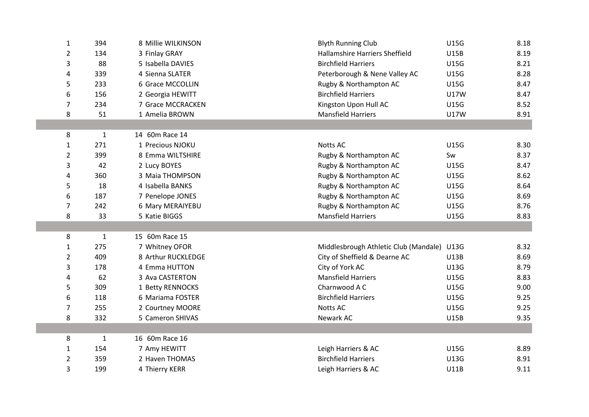| $\mathbf{1}$   | 394          | 8 Millie WILKINSON | <b>Blyth Running Club</b>             | <b>U15G</b> | 8.18 |
|----------------|--------------|--------------------|---------------------------------------|-------------|------|
| $\overline{2}$ | 134          | 3 Finlay GRAY      | <b>Hallamshire Harriers Sheffield</b> | <b>U15B</b> | 8.19 |
| 3              | 88           | 5 Isabella DAVIES  | <b>Birchfield Harriers</b>            | <b>U15G</b> | 8.21 |
| 4              | 339          | 4 Sienna SLATER    | Peterborough & Nene Valley AC         | <b>U15G</b> | 8.28 |
| 5              | 233          | 6 Grace MCCOLLIN   | Rugby & Northampton AC                | <b>U15G</b> | 8.47 |
| 6              | 156          | 2 Georgia HEWITT   | <b>Birchfield Harriers</b>            | <b>U17W</b> | 8.47 |
| 7              | 234          | 7 Grace MCCRACKEN  | Kingston Upon Hull AC                 | <b>U15G</b> | 8.52 |
| 8              | 51           | 1 Amelia BROWN     | <b>Mansfield Harriers</b>             | U17W        | 8.91 |
|                |              |                    |                                       |             |      |
| 8              | $\mathbf{1}$ | 14 60m Race 14     |                                       |             |      |
| $\mathbf{1}$   | 271          | 1 Precious NJOKU   | <b>Notts AC</b>                       | <b>U15G</b> | 8.30 |
| 2              | 399          | 8 Emma WILTSHIRE   | Rugby & Northampton AC                | Sw          | 8.37 |
| 3              | 42           | 2 Lucy BOYES       | Rugby & Northampton AC                | <b>U15G</b> | 8.47 |
| 4              | 360          | 3 Maia THOMPSON    | Rugby & Northampton AC                | <b>U15G</b> | 8.62 |
| 5              | 18           | 4 Isabella BANKS   | Rugby & Northampton AC                | <b>U15G</b> | 8.64 |
| 6              | 187          | 7 Penelope JONES   | Rugby & Northampton AC                | <b>U15G</b> | 8.69 |
| $\overline{7}$ | 242          | 6 Mary MERAIYEBU   | Rugby & Northampton AC                | <b>U15G</b> | 8.76 |
| 8              | 33           | 5 Katie BIGGS      | <b>Mansfield Harriers</b>             | <b>U15G</b> | 8.83 |
|                |              |                    |                                       |             |      |
| 8              | $\mathbf{1}$ | 15 60m Race 15     |                                       |             |      |
| 1              | 275          | 7 Whitney OFOR     | Middlesbrough Athletic Club (Mandale) | <b>U13G</b> | 8.32 |
| $\overline{2}$ | 409          | 8 Arthur RUCKLEDGE | City of Sheffield & Dearne AC         | <b>U13B</b> | 8.69 |
| 3              | 178          | 4 Emma HUTTON      | City of York AC                       | <b>U13G</b> | 8.79 |
| 4              | 62           | 3 Ava CASTERTON    | <b>Mansfield Harriers</b>             | <b>U15G</b> | 8.83 |
| 5              | 309          | 1 Betty RENNOCKS   | Charnwood A C                         | <b>U15G</b> | 9.00 |
| 6              | 118          | 6 Mariama FOSTER   | <b>Birchfield Harriers</b>            | <b>U15G</b> | 9.25 |
| 7              | 255          | 2 Courtney MOORE   | Notts AC                              | <b>U15G</b> | 9.25 |
| 8              | 332          | 5 Cameron SHIVAS   | Newark AC                             | <b>U15B</b> | 9.35 |
|                |              |                    |                                       |             |      |
| 8              | $\mathbf 1$  | 16 60m Race 16     |                                       |             |      |
| 1              | 154          | 7 Amy HEWITT       | Leigh Harriers & AC                   | <b>U15G</b> | 8.89 |
| 2              | 359          | 2 Haven THOMAS     | <b>Birchfield Harriers</b>            | U13G        | 8.91 |
| 3              | 199          | 4 Thierry KERR     | Leigh Harriers & AC                   | <b>U11B</b> | 9.11 |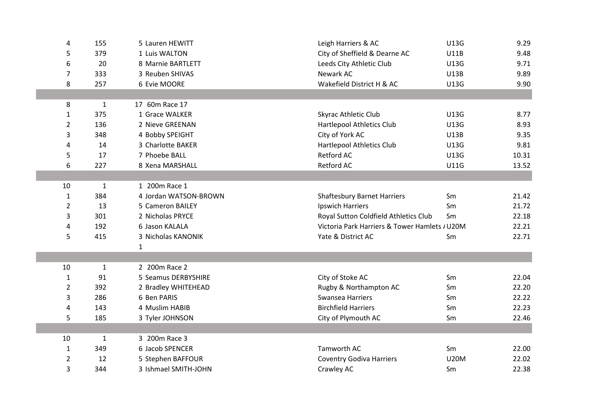| 4              | 155          | 5 Lauren HEWITT       | Leigh Harriers & AC                           | <b>U13G</b> | 9.29  |
|----------------|--------------|-----------------------|-----------------------------------------------|-------------|-------|
| 5              | 379          | 1 Luis WALTON         | City of Sheffield & Dearne AC                 | <b>U11B</b> | 9.48  |
| 6              | 20           | 8 Marnie BARTLETT     | Leeds City Athletic Club                      | <b>U13G</b> | 9.71  |
| $\overline{7}$ | 333          | 3 Reuben SHIVAS       | Newark AC                                     | U13B        | 9.89  |
| 8              | 257          | 6 Evie MOORE          | Wakefield District H & AC                     | <b>U13G</b> | 9.90  |
|                |              |                       |                                               |             |       |
| 8              | $\mathbf{1}$ | 17 60m Race 17        |                                               |             |       |
| 1              | 375          | 1 Grace WALKER        | Skyrac Athletic Club                          | U13G        | 8.77  |
| $\overline{2}$ | 136          | 2 Nieve GREENAN       | Hartlepool Athletics Club                     | <b>U13G</b> | 8.93  |
| 3              | 348          | 4 Bobby SPEIGHT       | City of York AC                               | <b>U13B</b> | 9.35  |
| 4              | 14           | 3 Charlotte BAKER     | Hartlepool Athletics Club                     | <b>U13G</b> | 9.81  |
| 5              | 17           | 7 Phoebe BALL         | <b>Retford AC</b>                             | <b>U13G</b> | 10.31 |
| 6              | 227          | 8 Xena MARSHALL       | Retford AC                                    | <b>U11G</b> | 13.52 |
|                |              |                       |                                               |             |       |
| 10             | $\mathbf 1$  | 1 200m Race 1         |                                               |             |       |
| $\mathbf{1}$   | 384          | 4 Jordan WATSON-BROWN | <b>Shaftesbury Barnet Harriers</b>            | Sm          | 21.42 |
| $\overline{2}$ | 13           | 5 Cameron BAILEY      | Ipswich Harriers                              | Sm          | 21.72 |
| 3              | 301          | 2 Nicholas PRYCE      | Royal Sutton Coldfield Athletics Club         | Sm          | 22.18 |
| 4              | 192          | 6 Jason KALALA        | Victoria Park Harriers & Tower Hamlets / U20M |             | 22.21 |
| 5              | 415          | 3 Nicholas KANONIK    | Yate & District AC                            | Sm          | 22.71 |
|                |              | 1                     |                                               |             |       |
|                |              |                       |                                               |             |       |
| 10             | $\mathbf{1}$ | 2 200m Race 2         |                                               |             |       |
| $\mathbf{1}$   | 91           | 5 Seamus DERBYSHIRE   | City of Stoke AC                              | Sm          | 22.04 |
| 2              | 392          | 2 Bradley WHITEHEAD   | Rugby & Northampton AC                        | Sm          | 22.20 |
| 3              | 286          | 6 Ben PARIS           | Swansea Harriers                              | Sm          | 22.22 |
| 4              | 143          | 4 Muslim HABIB        | <b>Birchfield Harriers</b>                    | Sm          | 22.23 |
| 5              | 185          | 3 Tyler JOHNSON       | City of Plymouth AC                           | Sm          | 22.46 |
|                |              |                       |                                               |             |       |
| 10             | $\mathbf{1}$ | 3 200m Race 3         |                                               |             |       |
| 1              | 349          | 6 Jacob SPENCER       | Tamworth AC                                   | Sm          | 22.00 |
| 2              | 12           | 5 Stephen BAFFOUR     | <b>Coventry Godiva Harriers</b>               | <b>U20M</b> | 22.02 |
| 3              | 344          | 3 Ishmael SMITH-JOHN  | Crawley AC                                    | Sm          | 22.38 |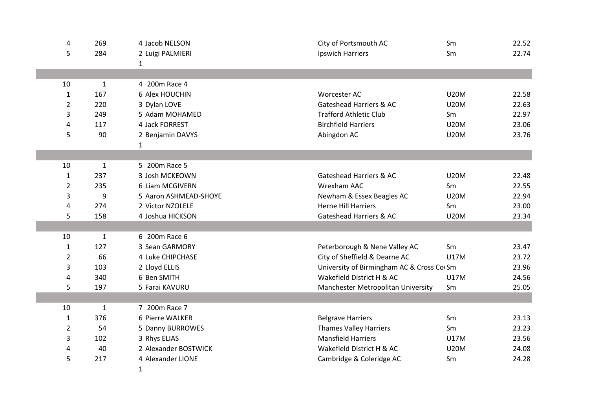| 4              | 269          | 4 Jacob NELSON        | City of Portsmouth AC                     | Sm          | 22.52 |
|----------------|--------------|-----------------------|-------------------------------------------|-------------|-------|
| 5              | 284          | 2 Luigi PALMIERI      | Ipswich Harriers                          | Sm          | 22.74 |
|                |              | 1                     |                                           |             |       |
|                |              |                       |                                           |             |       |
| 10             | $\mathbf{1}$ | 4 200m Race 4         |                                           |             |       |
| $\mathbf{1}$   | 167          | 6 Alex HOUCHIN        | Worcester AC                              | <b>U20M</b> | 22.58 |
| 2              | 220          | 3 Dylan LOVE          | Gateshead Harriers & AC                   | <b>U20M</b> | 22.63 |
| 3              | 249          | 5 Adam MOHAMED        | <b>Trafford Athletic Club</b>             | Sm          | 22.97 |
| 4              | 117          | 4 Jack FORREST        | <b>Birchfield Harriers</b>                | <b>U20M</b> | 23.06 |
| 5              | 90           | 2 Benjamin DAVYS      | Abingdon AC                               | <b>U20M</b> | 23.76 |
|                |              | 1                     |                                           |             |       |
|                |              |                       |                                           |             |       |
| 10             | $\mathbf{1}$ | 5 200m Race 5         |                                           |             |       |
| $\mathbf{1}$   | 237          | 3 Josh MCKEOWN        | <b>Gateshead Harriers &amp; AC</b>        | <b>U20M</b> | 22.48 |
| $\overline{2}$ | 235          | 6 Liam MCGIVERN       | Wrexham AAC                               | Sm          | 22.55 |
| 3              | 9            | 5 Aaron ASHMEAD-SHOYE | Newham & Essex Beagles AC                 | <b>U20M</b> | 22.94 |
| 4              | 274          | 2 Victor NZOLELE      | <b>Herne Hill Harriers</b>                | Sm          | 23.00 |
| 5              | 158          | 4 Joshua HICKSON      | Gateshead Harriers & AC                   | <b>U20M</b> | 23.34 |
|                |              |                       |                                           |             |       |
| 10             | $\mathbf{1}$ | 6 200m Race 6         |                                           |             |       |
| $\mathbf{1}$   | 127          | 3 Sean GARMORY        | Peterborough & Nene Valley AC             | Sm          | 23.47 |
| $\overline{2}$ | 66           | 4 Luke CHIPCHASE      | City of Sheffield & Dearne AC             | <b>U17M</b> | 23.72 |
| 3              | 103          | 2 Lloyd ELLIS         | University of Birmingham AC & Cross CorSm |             | 23.96 |
| 4              | 340          | 6 Ben SMITH           | Wakefield District H & AC                 | <b>U17M</b> | 24.56 |
| 5              | 197          | 5 Farai KAVURU        | Manchester Metropolitan University        | Sm          | 25.05 |
|                |              |                       |                                           |             |       |
| 10             | $\mathbf{1}$ | 7 200m Race 7         |                                           |             |       |
| $\mathbf{1}$   | 376          | 6 Pierre WALKER       | <b>Belgrave Harriers</b>                  | Sm          | 23.13 |
| 2              | 54           | 5 Danny BURROWES      | <b>Thames Valley Harriers</b>             | Sm          | 23.23 |
| 3              | 102          | 3 Rhys ELIAS          | <b>Mansfield Harriers</b>                 | <b>U17M</b> | 23.56 |
| 4              | 40           | 2 Alexander BOSTWICK  | Wakefield District H & AC                 | <b>U20M</b> | 24.08 |
| 5              | 217          | 4 Alexander LIONE     | Cambridge & Coleridge AC                  | Sm          | 24.28 |
|                |              | 1                     |                                           |             |       |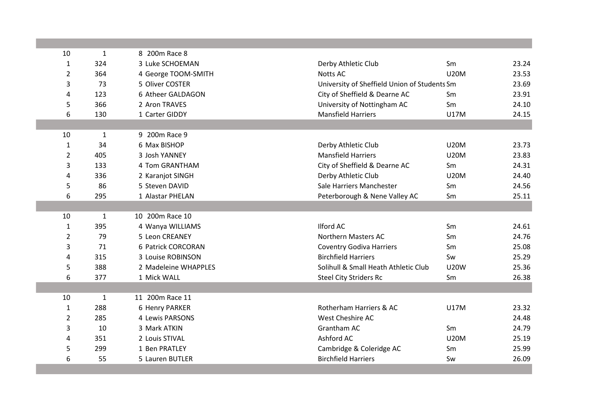| 10             | $\mathbf{1}$ | 8 200m Race 8        |                                              |             |       |
|----------------|--------------|----------------------|----------------------------------------------|-------------|-------|
| $\mathbf{1}$   | 324          | 3 Luke SCHOEMAN      | Derby Athletic Club                          | Sm          | 23.24 |
| $\overline{2}$ | 364          | 4 George TOOM-SMITH  | Notts AC                                     | <b>U20M</b> | 23.53 |
| 3              | 73           | 5 Oliver COSTER      | University of Sheffield Union of Students Sm |             | 23.69 |
| 4              | 123          | 6 Atheer GALDAGON    | City of Sheffield & Dearne AC                | Sm          | 23.91 |
| 5              | 366          | 2 Aron TRAVES        | University of Nottingham AC                  | Sm          | 24.10 |
| 6              | 130          | 1 Carter GIDDY       | <b>Mansfield Harriers</b>                    | <b>U17M</b> | 24.15 |
|                |              |                      |                                              |             |       |
| 10             | $\mathbf 1$  | 9 200m Race 9        |                                              |             |       |
| 1              | 34           | 6 Max BISHOP         | Derby Athletic Club                          | <b>U20M</b> | 23.73 |
| $\overline{2}$ | 405          | 3 Josh YANNEY        | <b>Mansfield Harriers</b>                    | <b>U20M</b> | 23.83 |
| 3              | 133          | 4 Tom GRANTHAM       | City of Sheffield & Dearne AC                | Sm          | 24.31 |
| 4              | 336          | 2 Karanjot SINGH     | Derby Athletic Club                          | <b>U20M</b> | 24.40 |
| 5              | 86           | 5 Steven DAVID       | Sale Harriers Manchester                     | Sm          | 24.56 |
| 6              | 295          | 1 Alastar PHELAN     | Peterborough & Nene Valley AC                | Sm          | 25.11 |
|                |              |                      |                                              |             |       |
| 10             | $\mathbf{1}$ | 10 200m Race 10      |                                              |             |       |
| $\mathbf{1}$   | 395          | 4 Wanya WILLIAMS     | <b>Ilford AC</b>                             | Sm          | 24.61 |
| $\overline{2}$ | 79           | 5 Leon CREANEY       | Northern Masters AC                          | Sm          | 24.76 |
| 3              | 71           | 6 Patrick CORCORAN   | <b>Coventry Godiva Harriers</b>              | Sm          | 25.08 |
| 4              | 315          | 3 Louise ROBINSON    | <b>Birchfield Harriers</b>                   | Sw          | 25.29 |
| 5              | 388          | 2 Madeleine WHAPPLES | Solihull & Small Heath Athletic Club         | <b>U20W</b> | 25.36 |
| 6              | 377          | 1 Mick WALL          | <b>Steel City Striders Rc</b>                | Sm          | 26.38 |
|                |              |                      |                                              |             |       |
| 10             | $\mathbf{1}$ | 11 200m Race 11      |                                              |             |       |
| 1              | 288          | 6 Henry PARKER       | Rotherham Harriers & AC                      | <b>U17M</b> | 23.32 |
| $\overline{2}$ | 285          | 4 Lewis PARSONS      | West Cheshire AC                             |             | 24.48 |
| 3              | 10           | 3 Mark ATKIN         | Grantham AC                                  | Sm          | 24.79 |
| 4              | 351          | 2 Louis STIVAL       | Ashford AC                                   | <b>U20M</b> | 25.19 |
| 5              | 299          | 1 Ben PRATLEY        | Cambridge & Coleridge AC                     | Sm          | 25.99 |
| 6              | 55           | 5 Lauren BUTLER      | <b>Birchfield Harriers</b>                   | Sw          | 26.09 |
|                |              |                      |                                              |             |       |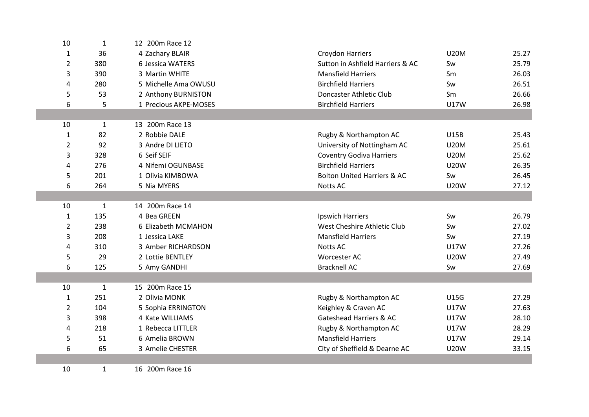| 10             | $\mathbf{1}$ | 12 200m Race 12       |                                        |             |       |
|----------------|--------------|-----------------------|----------------------------------------|-------------|-------|
| $\mathbf{1}$   | 36           | 4 Zachary BLAIR       | <b>Croydon Harriers</b>                | <b>U20M</b> | 25.27 |
| $\overline{2}$ | 380          | 6 Jessica WATERS      | Sutton in Ashfield Harriers & AC       | Sw          | 25.79 |
| 3              | 390          | 3 Martin WHITE        | <b>Mansfield Harriers</b>              | Sm          | 26.03 |
| 4              | 280          | 5 Michelle Ama OWUSU  | <b>Birchfield Harriers</b>             | Sw          | 26.51 |
| 5              | 53           | 2 Anthony BURNISTON   | Doncaster Athletic Club                | Sm          | 26.66 |
| 6              | 5            | 1 Precious AKPE-MOSES | <b>Birchfield Harriers</b>             | <b>U17W</b> | 26.98 |
|                |              |                       |                                        |             |       |
| 10             | 1            | 13 200m Race 13       |                                        |             |       |
| 1              | 82           | 2 Robbie DALE         | Rugby & Northampton AC                 | <b>U15B</b> | 25.43 |
| $\overline{2}$ | 92           | 3 Andre DI LIETO      | University of Nottingham AC            | <b>U20M</b> | 25.61 |
| 3              | 328          | 6 Seif SEIF           | <b>Coventry Godiva Harriers</b>        | <b>U20M</b> | 25.62 |
| 4              | 276          | 4 Nifemi OGUNBASE     | <b>Birchfield Harriers</b>             | <b>U20W</b> | 26.35 |
| 5              | 201          | 1 Olivia KIMBOWA      | <b>Bolton United Harriers &amp; AC</b> | Sw          | 26.45 |
| 6              | 264          | 5 Nia MYERS           | Notts AC                               | <b>U20W</b> | 27.12 |
|                |              |                       |                                        |             |       |
| 10             | 1            | 14 200m Race 14       |                                        |             |       |
| $\mathbf{1}$   | 135          | 4 Bea GREEN           | Ipswich Harriers                       | Sw          | 26.79 |
| $\overline{2}$ | 238          | 6 Elizabeth MCMAHON   | West Cheshire Athletic Club            | Sw          | 27.02 |
| 3              | 208          | 1 Jessica LAKE        | <b>Mansfield Harriers</b>              | Sw          | 27.19 |
| 4              | 310          | 3 Amber RICHARDSON    | Notts AC                               | U17W        | 27.26 |
| 5              | 29           | 2 Lottie BENTLEY      | Worcester AC                           | <b>U20W</b> | 27.49 |
| 6              | 125          | 5 Amy GANDHI          | <b>Bracknell AC</b>                    | Sw          | 27.69 |
|                |              |                       |                                        |             |       |
| 10             | $\mathbf{1}$ | 15 200m Race 15       |                                        |             |       |
| $\mathbf{1}$   | 251          | 2 Olivia MONK         | Rugby & Northampton AC                 | <b>U15G</b> | 27.29 |
| $\overline{2}$ | 104          | 5 Sophia ERRINGTON    | Keighley & Craven AC                   | U17W        | 27.63 |
| 3              | 398          | 4 Kate WILLIAMS       | <b>Gateshead Harriers &amp; AC</b>     | <b>U17W</b> | 28.10 |
| 4              | 218          | 1 Rebecca LITTLER     | Rugby & Northampton AC                 | <b>U17W</b> | 28.29 |
| 5              | 51           | 6 Amelia BROWN        | <b>Mansfield Harriers</b>              | U17W        | 29.14 |
| 6              | 65           | 3 Amelie CHESTER      | City of Sheffield & Dearne AC          | <b>U20W</b> | 33.15 |
|                |              |                       |                                        |             |       |
| 10             | $\mathbf{1}$ | 16 200m Race 16       |                                        |             |       |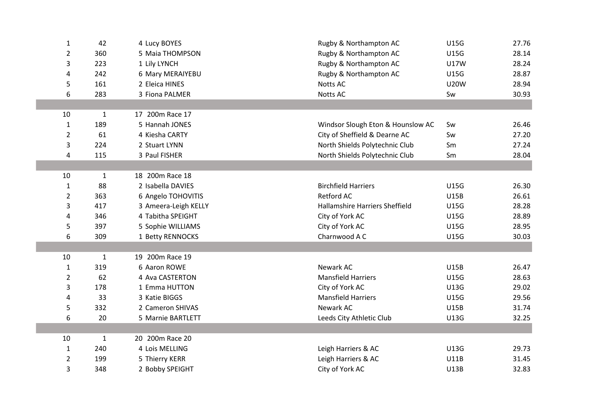| $\mathbf{1}$   | 42           | 4 Lucy BOYES         | Rugby & Northampton AC                | U15G        | 27.76 |
|----------------|--------------|----------------------|---------------------------------------|-------------|-------|
| $\overline{2}$ | 360          | 5 Maia THOMPSON      | Rugby & Northampton AC                | <b>U15G</b> | 28.14 |
| 3              | 223          | 1 Lily LYNCH         | Rugby & Northampton AC                | <b>U17W</b> | 28.24 |
| 4              | 242          | 6 Mary MERAIYEBU     | Rugby & Northampton AC                | <b>U15G</b> | 28.87 |
| 5              | 161          | 2 Eleica HINES       | Notts AC                              | <b>U20W</b> | 28.94 |
| 6              | 283          | 3 Fiona PALMER       | <b>Notts AC</b>                       | Sw          | 30.93 |
|                |              |                      |                                       |             |       |
| 10             | $\mathbf{1}$ | 17 200m Race 17      |                                       |             |       |
| $\mathbf{1}$   | 189          | 5 Hannah JONES       | Windsor Slough Eton & Hounslow AC     | Sw          | 26.46 |
| 2              | 61           | 4 Kiesha CARTY       | City of Sheffield & Dearne AC         | Sw          | 27.20 |
| 3              | 224          | 2 Stuart LYNN        | North Shields Polytechnic Club        | Sm          | 27.24 |
| 4              | 115          | 3 Paul FISHER        | North Shields Polytechnic Club        | Sm          | 28.04 |
|                |              |                      |                                       |             |       |
| 10             | $\mathbf{1}$ | 18 200m Race 18      |                                       |             |       |
| $\mathbf{1}$   | 88           | 2 Isabella DAVIES    | <b>Birchfield Harriers</b>            | <b>U15G</b> | 26.30 |
| 2              | 363          | 6 Angelo TOHOVITIS   | <b>Retford AC</b>                     | U15B        | 26.61 |
| 3              | 417          | 3 Ameera-Leigh KELLY | <b>Hallamshire Harriers Sheffield</b> | <b>U15G</b> | 28.28 |
| 4              | 346          | 4 Tabitha SPEIGHT    | City of York AC                       | <b>U15G</b> | 28.89 |
| 5              | 397          | 5 Sophie WILLIAMS    | City of York AC                       | <b>U15G</b> | 28.95 |
| 6              | 309          | 1 Betty RENNOCKS     | Charnwood A C                         | <b>U15G</b> | 30.03 |
|                |              |                      |                                       |             |       |
| 10             | $\mathbf{1}$ | 19 200m Race 19      |                                       |             |       |
| $\mathbf{1}$   | 319          | 6 Aaron ROWE         | Newark AC                             | <b>U15B</b> | 26.47 |
| 2              | 62           | 4 Ava CASTERTON      | <b>Mansfield Harriers</b>             | <b>U15G</b> | 28.63 |
| 3              | 178          | 1 Emma HUTTON        | City of York AC                       | <b>U13G</b> | 29.02 |
| 4              | 33           | 3 Katie BIGGS        | <b>Mansfield Harriers</b>             | <b>U15G</b> | 29.56 |
| 5              | 332          | 2 Cameron SHIVAS     | Newark AC                             | <b>U15B</b> | 31.74 |
| 6              | 20           | 5 Marnie BARTLETT    | Leeds City Athletic Club              | U13G        | 32.25 |
|                |              |                      |                                       |             |       |
| 10             | $\mathbf{1}$ | 20 200m Race 20      |                                       |             |       |
| 1              | 240          | 4 Lois MELLING       | Leigh Harriers & AC                   | <b>U13G</b> | 29.73 |
| 2              | 199          | 5 Thierry KERR       | Leigh Harriers & AC                   | <b>U11B</b> | 31.45 |
| 3              | 348          | 2 Bobby SPEIGHT      | City of York AC                       | <b>U13B</b> | 32.83 |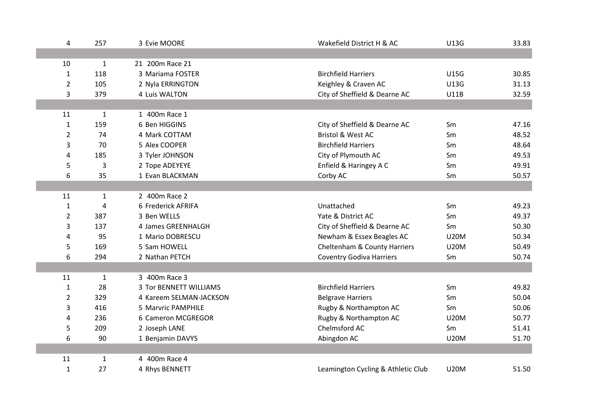|             | 257<br>4              | 3 Evie MOORE            | Wakefield District H & AC          | <b>U13G</b> | 33.83 |
|-------------|-----------------------|-------------------------|------------------------------------|-------------|-------|
|             |                       |                         |                                    |             |       |
| 10          | 1                     | 21 200m Race 21         |                                    |             |       |
|             | 118<br>$\mathbf 1$    | 3 Mariama FOSTER        | <b>Birchfield Harriers</b>         | <b>U15G</b> | 30.85 |
|             | $\overline{2}$<br>105 | 2 Nyla ERRINGTON        | Keighley & Craven AC               | <b>U13G</b> | 31.13 |
|             | 3<br>379              | 4 Luis WALTON           | City of Sheffield & Dearne AC      | <b>U11B</b> | 32.59 |
|             |                       |                         |                                    |             |       |
| 11          | $\mathbf{1}$          | 1 400m Race 1           |                                    |             |       |
|             | $\mathbf{1}$<br>159   | 6 Ben HIGGINS           | City of Sheffield & Dearne AC      | Sm          | 47.16 |
|             | 74<br>$\overline{2}$  | 4 Mark COTTAM           | Bristol & West AC                  | Sm          | 48.52 |
|             | 3<br>70               | 5 Alex COOPER           | <b>Birchfield Harriers</b>         | Sm          | 48.64 |
|             | 4<br>185              | 3 Tyler JOHNSON         | City of Plymouth AC                | Sm          | 49.53 |
|             | 5<br>3                | 2 Tope ADEYEYE          | Enfield & Haringey A C             | Sm          | 49.91 |
|             | 6<br>35               | 1 Evan BLACKMAN         | Corby AC                           | Sm          | 50.57 |
|             |                       |                         |                                    |             |       |
| 11          | $\mathbf{1}$          | 2 400m Race 2           |                                    |             |       |
|             | $\mathbf{1}$<br>4     | 6 Frederick AFRIFA      | Unattached                         | Sm          | 49.23 |
|             | $\overline{2}$<br>387 | 3 Ben WELLS             | Yate & District AC                 | Sm          | 49.37 |
|             | 3<br>137              | 4 James GREENHALGH      | City of Sheffield & Dearne AC      | Sm          | 50.30 |
|             | 4<br>95               | 1 Mario DOBRESCU        | Newham & Essex Beagles AC          | <b>U20M</b> | 50.34 |
|             | 5<br>169              | 5 Sam HOWELL            | Cheltenham & County Harriers       | <b>U20M</b> | 50.49 |
|             | 6<br>294              | 2 Nathan PETCH          | <b>Coventry Godiva Harriers</b>    | Sm          | 50.74 |
|             |                       |                         |                                    |             |       |
| 11          | $\mathbf{1}$          | 3 400m Race 3           |                                    |             |       |
|             | $\mathbf{1}$<br>28    | 3 Tor BENNETT WILLIAMS  | <b>Birchfield Harriers</b>         | Sm          | 49.82 |
|             | $\overline{2}$<br>329 | 4 Kareem SELMAN-JACKSON | <b>Belgrave Harriers</b>           | Sm          | 50.04 |
|             | 3<br>416              | 5 Marvric PAMPHILE      | Rugby & Northampton AC             | Sm          | 50.06 |
|             | 4<br>236              | 6 Cameron MCGREGOR      | Rugby & Northampton AC             | <b>U20M</b> | 50.77 |
|             | 5<br>209              | 2 Joseph LANE           | Chelmsford AC                      | Sm          | 51.41 |
|             | 6<br>90               | 1 Benjamin DAVYS        | Abingdon AC                        | <b>U20M</b> | 51.70 |
|             |                       |                         |                                    |             |       |
| 11          | 1                     | 4 400m Race 4           |                                    |             |       |
| $\mathbf 1$ | 27                    | 4 Rhys BENNETT          | Leamington Cycling & Athletic Club | <b>U20M</b> | 51.50 |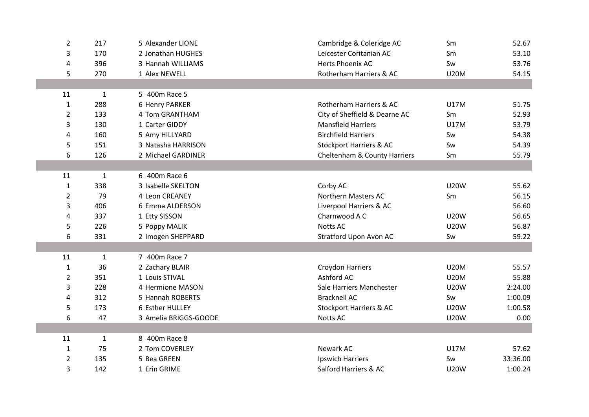| $\overline{2}$ | 217          | 5 Alexander LIONE     | Cambridge & Coleridge AC      | Sm          | 52.67    |
|----------------|--------------|-----------------------|-------------------------------|-------------|----------|
| 3              | 170          | 2 Jonathan HUGHES     | Leicester Coritanian AC       | Sm          | 53.10    |
| 4              | 396          | 3 Hannah WILLIAMS     | Herts Phoenix AC              | Sw          | 53.76    |
| 5              | 270          | 1 Alex NEWELL         | Rotherham Harriers & AC       | <b>U20M</b> | 54.15    |
|                |              |                       |                               |             |          |
| 11             | $\mathbf{1}$ | 5 400m Race 5         |                               |             |          |
| $\mathbf{1}$   | 288          | 6 Henry PARKER        | Rotherham Harriers & AC       | <b>U17M</b> | 51.75    |
| 2              | 133          | 4 Tom GRANTHAM        | City of Sheffield & Dearne AC | Sm          | 52.93    |
| 3              | 130          | 1 Carter GIDDY        | <b>Mansfield Harriers</b>     | <b>U17M</b> | 53.79    |
| 4              | 160          | 5 Amy HILLYARD        | <b>Birchfield Harriers</b>    | Sw          | 54.38    |
| 5              | 151          | 3 Natasha HARRISON    | Stockport Harriers & AC       | Sw          | 54.39    |
| 6              | 126          | 2 Michael GARDINER    | Cheltenham & County Harriers  | Sm          | 55.79    |
|                |              |                       |                               |             |          |
| 11             | $\mathbf{1}$ | 6 400m Race 6         |                               |             |          |
| $\mathbf{1}$   | 338          | 3 Isabelle SKELTON    | Corby AC                      | <b>U20W</b> | 55.62    |
| $\overline{2}$ | 79           | 4 Leon CREANEY        | <b>Northern Masters AC</b>    | Sm          | 56.15    |
| 3              | 406          | 6 Emma ALDERSON       | Liverpool Harriers & AC       |             | 56.60    |
| 4              | 337          | 1 Etty SISSON         | Charnwood A C                 | <b>U20W</b> | 56.65    |
| 5              | 226          | 5 Poppy MALIK         | Notts AC                      | <b>U20W</b> | 56.87    |
| 6              | 331          | 2 Imogen SHEPPARD     | Stratford Upon Avon AC        | Sw          | 59.22    |
|                |              |                       |                               |             |          |
| 11             | $\mathbf{1}$ | 7 400m Race 7         |                               |             |          |
| $\mathbf{1}$   | 36           | 2 Zachary BLAIR       | <b>Croydon Harriers</b>       | <b>U20M</b> | 55.57    |
| $\overline{2}$ | 351          | 1 Louis STIVAL        | Ashford AC                    | <b>U20M</b> | 55.88    |
| 3              | 228          | 4 Hermione MASON      | Sale Harriers Manchester      | <b>U20W</b> | 2:24.00  |
| 4              | 312          | 5 Hannah ROBERTS      | <b>Bracknell AC</b>           | Sw          | 1:00.09  |
| 5              | 173          | 6 Esther HULLEY       | Stockport Harriers & AC       | <b>U20W</b> | 1:00.58  |
| 6              | 47           | 3 Amelia BRIGGS-GOODE | Notts AC                      | <b>U20W</b> | 0.00     |
|                |              |                       |                               |             |          |
| 11             | $\mathbf{1}$ | 8 400m Race 8         |                               |             |          |
| $\mathbf{1}$   | 75           | 2 Tom COVERLEY        | Newark AC                     | <b>U17M</b> | 57.62    |
| $\overline{2}$ | 135          | 5 Bea GREEN           | <b>Ipswich Harriers</b>       | Sw          | 33:36.00 |
| 3              | 142          | 1 Erin GRIME          | Salford Harriers & AC         | <b>U20W</b> | 1:00.24  |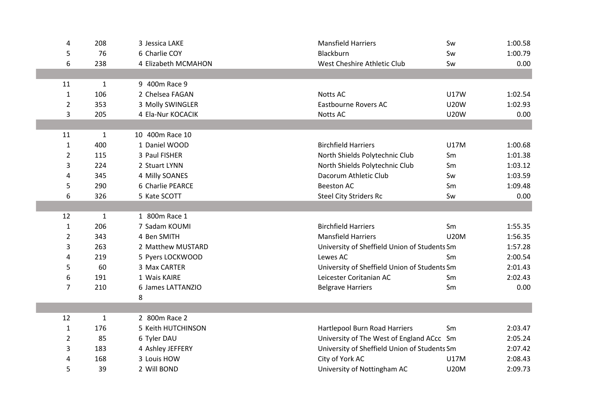| 4              | 208          | 3 Jessica LAKE      | <b>Mansfield Harriers</b>                    | Sw          | 1:00.58 |
|----------------|--------------|---------------------|----------------------------------------------|-------------|---------|
| 5              | 76           | 6 Charlie COY       | Blackburn                                    | Sw          | 1:00.79 |
| 6              | 238          | 4 Elizabeth MCMAHON | West Cheshire Athletic Club                  | Sw          | 0.00    |
|                |              |                     |                                              |             |         |
| 11             | $\mathbf{1}$ | 9 400m Race 9       |                                              |             |         |
| 1              | 106          | 2 Chelsea FAGAN     | <b>Notts AC</b>                              | <b>U17W</b> | 1:02.54 |
| $\overline{2}$ | 353          | 3 Molly SWINGLER    | <b>Eastbourne Rovers AC</b>                  | <b>U20W</b> | 1:02.93 |
| 3              | 205          | 4 Ela-Nur KOCACIK   | <b>Notts AC</b>                              | <b>U20W</b> | 0.00    |
|                |              |                     |                                              |             |         |
| 11             | $\mathbf{1}$ | 10 400m Race 10     |                                              |             |         |
| $\mathbf{1}$   | 400          | 1 Daniel WOOD       | <b>Birchfield Harriers</b>                   | <b>U17M</b> | 1:00.68 |
| $\overline{2}$ | 115          | 3 Paul FISHER       | North Shields Polytechnic Club               | Sm          | 1:01.38 |
| 3              | 224          | 2 Stuart LYNN       | North Shields Polytechnic Club               | Sm          | 1:03.12 |
| 4              | 345          | 4 Milly SOANES      | Dacorum Athletic Club                        | Sw          | 1:03.59 |
| 5              | 290          | 6 Charlie PEARCE    | <b>Beeston AC</b>                            | Sm          | 1:09.48 |
| 6              | 326          | 5 Kate SCOTT        | <b>Steel City Striders Rc</b>                | Sw          | 0.00    |
|                |              |                     |                                              |             |         |
| 12             | $\mathbf{1}$ | 1 800m Race 1       |                                              |             |         |
| $\mathbf{1}$   | 206          | 7 Sadam KOUMI       | <b>Birchfield Harriers</b>                   | Sm          | 1:55.35 |
| $\overline{2}$ | 343          | 4 Ben SMITH         | <b>Mansfield Harriers</b>                    | <b>U20M</b> | 1:56.35 |
| 3              | 263          | 2 Matthew MUSTARD   | University of Sheffield Union of Students Sm |             | 1:57.28 |
| 4              | 219          | 5 Pyers LOCKWOOD    | Lewes AC                                     | Sm          | 2:00.54 |
| 5              | 60           | 3 Max CARTER        | University of Sheffield Union of Students Sm |             | 2:01.43 |
| 6              | 191          | 1 Wais KAIRE        | Leicester Coritanian AC                      | Sm          | 2:02.43 |
| 7              | 210          | 6 James LATTANZIO   | <b>Belgrave Harriers</b>                     | Sm          | 0.00    |
|                |              | 8                   |                                              |             |         |
|                |              |                     |                                              |             |         |
| 12             | $\mathbf{1}$ | 2 800m Race 2       |                                              |             |         |
| $\mathbf{1}$   | 176          | 5 Keith HUTCHINSON  | <b>Hartlepool Burn Road Harriers</b>         | Sm          | 2:03.47 |
| 2              | 85           | 6 Tyler DAU         | University of The West of England ACcc Sm    |             | 2:05.24 |
| 3              | 183          | 4 Ashley JEFFERY    | University of Sheffield Union of Students Sm |             | 2:07.42 |
| 4              | 168          | 3 Louis HOW         | City of York AC                              | <b>U17M</b> | 2:08.43 |
| 5              | 39           | 2 Will BOND         | University of Nottingham AC                  | <b>U20M</b> | 2:09.73 |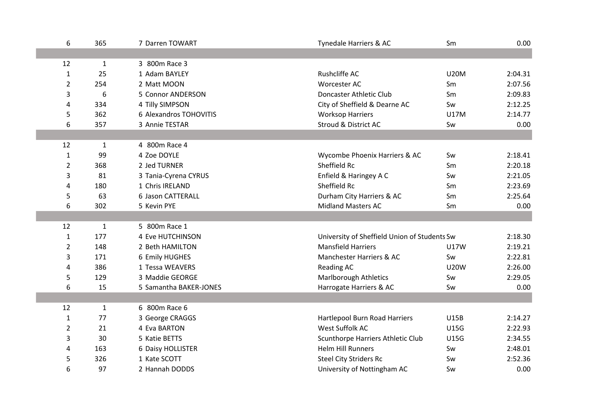| 6              | 365          | 7 Darren TOWART         | Tynedale Harriers & AC                       | Sm          | 0.00    |
|----------------|--------------|-------------------------|----------------------------------------------|-------------|---------|
|                |              |                         |                                              |             |         |
| 12             | $\mathbf{1}$ | 3 800m Race 3           |                                              |             |         |
| $\mathbf{1}$   | 25           | 1 Adam BAYLEY           | Rushcliffe AC                                | <b>U20M</b> | 2:04.31 |
| $\overline{2}$ | 254          | 2 Matt MOON             | Worcester AC                                 | Sm          | 2:07.56 |
| 3              | 6            | 5 Connor ANDERSON       | Doncaster Athletic Club                      | Sm          | 2:09.83 |
| 4              | 334          | 4 Tilly SIMPSON         | City of Sheffield & Dearne AC                | Sw          | 2:12.25 |
| 5              | 362          | 6 Alexandros TOHOVITIS  | <b>Worksop Harriers</b>                      | <b>U17M</b> | 2:14.77 |
| 6              | 357          | 3 Annie TESTAR          | <b>Stroud &amp; District AC</b>              | Sw          | 0.00    |
|                |              |                         |                                              |             |         |
| 12             | 1            | 4 800m Race 4           |                                              |             |         |
| $\mathbf{1}$   | 99           | 4 Zoe DOYLE             | Wycombe Phoenix Harriers & AC                | Sw          | 2:18.41 |
| $\overline{2}$ | 368          | 2 Jed TURNER            | Sheffield Rc                                 | Sm          | 2:20.18 |
| 3              | 81           | 3 Tania-Cyrena CYRUS    | Enfield & Haringey A C                       | Sw          | 2:21.05 |
| 4              | 180          | 1 Chris IRELAND         | Sheffield Rc                                 | Sm          | 2:23.69 |
| 5              | 63           | 6 Jason CATTERALL       | Durham City Harriers & AC                    | Sm          | 2:25.64 |
| 6              | 302          | 5 Kevin PYE             | <b>Midland Masters AC</b>                    | Sm          | 0.00    |
|                |              |                         |                                              |             |         |
| 12             | $\mathbf{1}$ | 5 800m Race 1           |                                              |             |         |
| $\mathbf{1}$   | 177          | <b>4 Eve HUTCHINSON</b> | University of Sheffield Union of Students Sw |             | 2:18.30 |
| $\overline{2}$ | 148          | 2 Beth HAMILTON         | <b>Mansfield Harriers</b>                    | <b>U17W</b> | 2:19.21 |
| 3              | 171          | 6 Emily HUGHES          | Manchester Harriers & AC                     | Sw          | 2:22.81 |
| 4              | 386          | 1 Tessa WEAVERS         | <b>Reading AC</b>                            | <b>U20W</b> | 2:26.00 |
| 5              | 129          | 3 Maddie GEORGE         | <b>Marlborough Athletics</b>                 | Sw          | 2:29.05 |
| 6              | 15           | 5 Samantha BAKER-JONES  | Harrogate Harriers & AC                      | Sw          | 0.00    |
|                |              |                         |                                              |             |         |
| 12             | 1            | 6 800m Race 6           |                                              |             |         |
| $\mathbf{1}$   | 77           | 3 George CRAGGS         | Hartlepool Burn Road Harriers                | <b>U15B</b> | 2:14.27 |
| $\overline{2}$ | 21           | 4 Eva BARTON            | West Suffolk AC                              | <b>U15G</b> | 2:22.93 |
| 3              | 30           | 5 Katie BETTS           | Scunthorpe Harriers Athletic Club            | <b>U15G</b> | 2:34.55 |
| 4              | 163          | 6 Daisy HOLLISTER       | <b>Helm Hill Runners</b>                     | Sw          | 2:48.01 |
| 5              | 326          | 1 Kate SCOTT            | <b>Steel City Striders Rc</b>                | Sw          | 2:52.36 |
| 6              | 97           | 2 Hannah DODDS          | University of Nottingham AC                  | Sw          | 0.00    |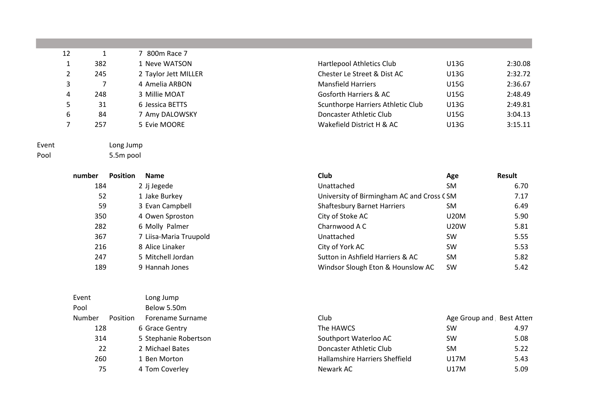| 12 |     | 7 800m Race 7        |                                   |             |         |
|----|-----|----------------------|-----------------------------------|-------------|---------|
|    | 382 | 1 Neve WATSON        | Hartlepool Athletics Club         | U13G        | 2:30.08 |
|    | 245 | 2 Taylor Jett MILLER | Chester Le Street & Dist AC       | <b>U13G</b> | 2:32.72 |
| 3  |     | 4 Amelia ARBON       | <b>Mansfield Harriers</b>         | <b>U15G</b> | 2:36.67 |
| 4  | 248 | 3 Millie MOAT        | Gosforth Harriers & AC            | <b>U15G</b> | 2:48.49 |
|    | 31  | 6 Jessica BETTS      | Scunthorpe Harriers Athletic Club | <b>U13G</b> | 2:49.81 |
| 6  | 84  | 7 Amy DALOWSKY       | Doncaster Athletic Club           | <b>U15G</b> | 3:04.13 |
|    | 257 | 5 Evie MOORE         | Wakefield District H & AC         | U13G        | 3:15.11 |
|    |     |                      |                                   |             |         |



Event Long Jump

Pool 5.5m pool

|     | nber Position | <b>Name</b>           |
|-----|---------------|-----------------------|
| 184 |               | 2 Jj Jegede           |
| 52  |               | 1 Jake Burkey         |
| 59  |               | 3 Evan Campbell       |
| 350 |               | 4 Owen Sproston       |
| 282 |               | 6 Molly Palmer        |
| 367 |               | 7 Liisa-Maria Truupol |
| 216 |               | 8 Alice Linaker       |
| 247 |               | 5 Mitchell Jordan     |
| 189 |               | 9 Hannah Jones        |

| Event           |  | Long Jump             |
|-----------------|--|-----------------------|
| Pool            |  | Below 5.50m           |
| Number Position |  | Forename Surname      |
| 128             |  | 6 Grace Gentry        |
| 314             |  | 5 Stephanie Robertson |
| 22              |  | 2 Michael Bates       |
| 260             |  | 1 Ben Morton          |
| 75              |  | 4 Tom Coverley        |
|                 |  |                       |

| <b>THAT COOPER TRITIC CITY</b>    | ◡⊥◡◡        | 2.90.00 |
|-----------------------------------|-------------|---------|
| Chester Le Street & Dist AC       | U13G        | 2:32.72 |
| <b>Mansfield Harriers</b>         | <b>U15G</b> | 2:36.67 |
| Gosforth Harriers & AC            | <b>U15G</b> | 2:48.49 |
| Scunthorpe Harriers Athletic Club | U13G        | 2:49.81 |
| Doncaster Athletic Club           | <b>U15G</b> | 3:04.13 |
| Wakefield District H & AC         | U13G        | 3:15.11 |
|                                   |             |         |

| number | <b>Position</b> | <b>Name</b>            | Club                                      | Age         | Result |
|--------|-----------------|------------------------|-------------------------------------------|-------------|--------|
| 184    |                 | 2 Jj Jegede            | Unattached                                | SM          | 6.70   |
| 52     |                 | 1 Jake Burkey          | University of Birmingham AC and Cross CSM |             | 7.17   |
| 59     |                 | 3 Evan Campbell        | <b>Shaftesbury Barnet Harriers</b>        | <b>SM</b>   | 6.49   |
| 350    |                 | 4 Owen Sproston        | City of Stoke AC                          | <b>U20M</b> | 5.90   |
| 282    |                 | 6 Molly Palmer         | Charnwood A C                             | <b>U20W</b> | 5.81   |
| 367    |                 | 7 Liisa-Maria Truupold | Unattached                                | <b>SW</b>   | 5.55   |
| 216    |                 | 8 Alice Linaker        | City of York AC                           | <b>SW</b>   | 5.53   |
| 247    |                 | 5 Mitchell Jordan      | Sutton in Ashfield Harriers & AC          | <b>SM</b>   | 5.82   |
| 189    |                 | 9 Hannah Jones         | Windsor Slough Eton & Hounslow AC         | <b>SW</b>   | 5.42   |

| Number | <b>Position</b> | Forename Surname      | Club                           | Age Group and Best Atten |      |
|--------|-----------------|-----------------------|--------------------------------|--------------------------|------|
| 128    |                 | 6 Grace Gentry        | The HAWCS                      | <b>SW</b>                | 4.97 |
| 314    |                 | 5 Stephanie Robertson | Southport Waterloo AC          | <b>SW</b>                | 5.08 |
| 22     |                 | 2 Michael Bates       | Doncaster Athletic Club        | <b>SM</b>                | 5.22 |
| 260    |                 | 1 Ben Morton          | Hallamshire Harriers Sheffield | U17M                     | 5.43 |
| 75     |                 | 4 Tom Coverley        | Newark AC                      | U17M                     | 5.09 |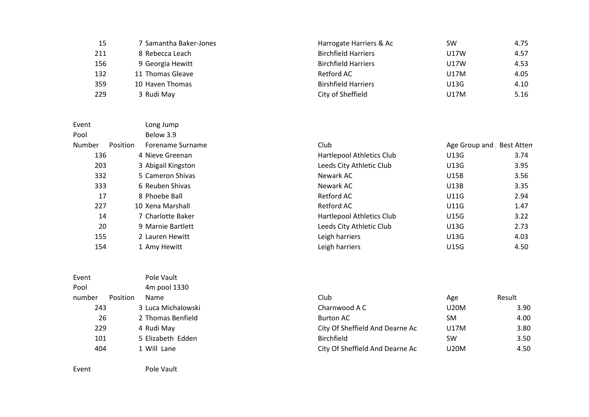| 15  | 7 Samantha Baker-Jones | Harrogate Harriers & Ac    | <b>SW</b> | 4.75 |
|-----|------------------------|----------------------------|-----------|------|
| 211 | 8 Rebecca Leach        | <b>Birchfield Harriers</b> | U17W      | 4.57 |
| 156 | 9 Georgia Hewitt       | <b>Birchfield Harriers</b> | U17W      | 4.53 |
| 132 | 11 Thomas Gleave       | Retford AC                 | U17M      | 4.05 |
| 359 | 10 Haven Thomas        | <b>Birshfield Harriers</b> | U13G      | 4.10 |
| 229 | 3 Rudi May             | City of Sheffield          | U17M      | 5.16 |

| Event  |          | Long Jump          |                           |                          |      |
|--------|----------|--------------------|---------------------------|--------------------------|------|
| Pool   |          | Below 3.9          |                           |                          |      |
| Number | Position | Forename Surname   | Club                      | Age Group and Best Atten |      |
| 136    |          | 4 Nieve Greenan    | Hartlepool Athletics Club | U13G                     | 3.74 |
| 203    |          | 3 Abigail Kingston | Leeds City Athletic Club  | U13G                     | 3.95 |
| 332    |          | 5 Cameron Shivas   | Newark AC                 | <b>U15B</b>              | 3.56 |
| 333    |          | 6 Reuben Shivas    | Newark AC                 | U13B                     | 3.35 |
| 17     |          | 8 Phoebe Ball      | <b>Retford AC</b>         | <b>U11G</b>              | 2.94 |
| 227    |          | 10 Xena Marshall   | <b>Retford AC</b>         | <b>U11G</b>              | 1.47 |
| 14     |          | 7 Charlotte Baker  | Hartlepool Athletics Club | <b>U15G</b>              | 3.22 |
| 20     |          | 9 Marnie Bartlett  | Leeds City Athletic Club  | U13G                     | 2.73 |
| 155    |          | 2 Lauren Hewitt    | Leigh harriers            | U13G                     | 4.03 |
| 154    |          | 1 Amy Hewitt       | Leigh harriers            | U15G                     | 4.50 |

| Event           |  | Pole Vault         |
|-----------------|--|--------------------|
| Pool            |  | 4m pool 1330       |
| number Position |  | Name               |
| 243             |  | 3 Luca Michalowski |
| 26              |  | 2 Thomas Benfield  |
| 229             |  | 4 Rudi May         |
| 101             |  | 5 Elizabeth Edden  |
| 404             |  | 1 Will Lane        |
|                 |  |                    |

Event Pole Vault

number Position Name Club Age Result 20M Charnwood A C Charnwood A C U20M 3.90 26 2 Thomas Benfield **Burton AC** Burton AC SM 3 A.00 City Of Sheffield And Dearne Ac U17M 3.80 5 Elizabeth Edden Birchfield SW 3.50 City Of Sheffield And Dearne Ac U20M 4.50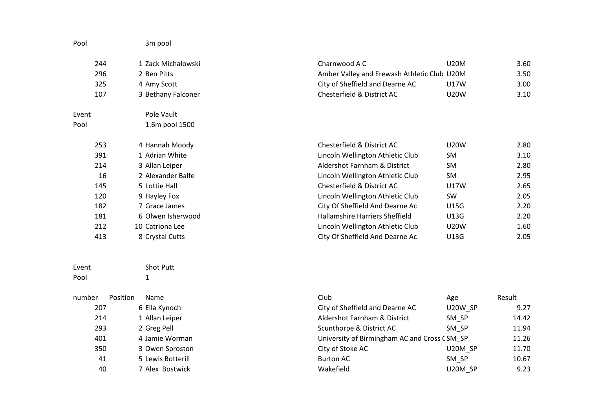| Pool   | 3m pool            |                                              |             |        |
|--------|--------------------|----------------------------------------------|-------------|--------|
| 244    | 1 Zack Michalowski | Charnwood A C                                | <b>U20M</b> | 3.60   |
| 296    | 2 Ben Pitts        | Amber Valley and Erewash Athletic Club U20M  |             | 3.50   |
| 325    | 4 Amy Scott        | City of Sheffield and Dearne AC              | <b>U17W</b> | 3.00   |
| 107    | 3 Bethany Falconer | Chesterfield & District AC                   | <b>U20W</b> | 3.10   |
| Event  | Pole Vault         |                                              |             |        |
| Pool   | 1.6m pool 1500     |                                              |             |        |
| 253    | 4 Hannah Moody     | Chesterfield & District AC                   | <b>U20W</b> | 2.80   |
| 391    | 1 Adrian White     | Lincoln Wellington Athletic Club             | <b>SM</b>   | 3.10   |
| 214    | 3 Allan Leiper     | Aldershot Farnham & District                 | SM          | 2.80   |
| 16     | 2 Alexander Balfe  | Lincoln Wellington Athletic Club             | SM          | 2.95   |
| 145    | 5 Lottie Hall      | Chesterfield & District AC                   | <b>U17W</b> | 2.65   |
| 120    | 9 Hayley Fox       | Lincoln Wellington Athletic Club             | SW          | 2.05   |
| 182    | 7 Grace James      | City Of Sheffield And Dearne Ac              | <b>U15G</b> | 2.20   |
| 181    | 6 Olwen Isherwood  | Hallamshire Harriers Sheffield               | U13G        | 2.20   |
| 212    | 10 Catriona Lee    | Lincoln Wellington Athletic Club             | <b>U20W</b> | 1.60   |
| 413    | 8 Crystal Cutts    | City Of Sheffield And Dearne Ac              | U13G        | 2.05   |
| Event  | <b>Shot Putt</b>   |                                              |             |        |
| Pool   | $\mathbf{1}$       |                                              |             |        |
| number | Position<br>Name   | Club                                         | Age         | Result |
| 207    | 6 Ella Kynoch      | City of Sheffield and Dearne AC              | U20W_SP     | 9.27   |
| 214    | 1 Allan Leiper     | Aldershot Farnham & District                 | SM_SP       | 14.42  |
| 293    | 2 Greg Pell        | Scunthorpe & District AC                     | SM_SP       | 11.94  |
| 401    | 4 Jamie Worman     | University of Birmingham AC and Cross CSM_SP |             | 11.26  |
| 350    | 3 Owen Sproston    | City of Stoke AC                             | U20M SP     | 11.70  |
| 41     | 5 Lewis Botterill  | <b>Burton AC</b>                             | SM SP       | 10.67  |

7 Alex Bostwick Wakefield U20M\_SP 9.23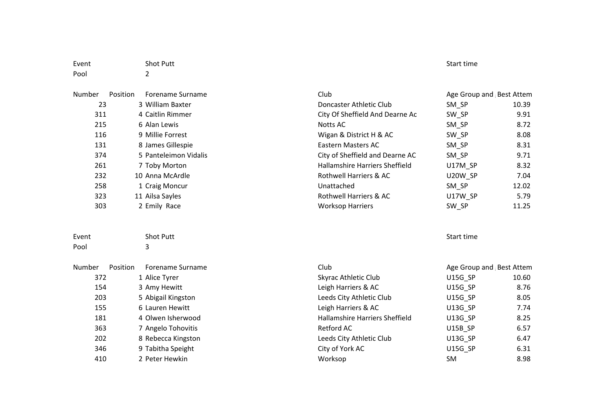| Event  |          | <b>Shot Putt</b>        |                                       | Start time               |       |  |
|--------|----------|-------------------------|---------------------------------------|--------------------------|-------|--|
| Pool   |          | 2                       |                                       |                          |       |  |
| Number | Position | <b>Forename Surname</b> | Club                                  | Age Group and Best Attem |       |  |
| 23     |          | 3 William Baxter        | Doncaster Athletic Club               | SM_SP                    | 10.39 |  |
| 311    |          | 4 Caitlin Rimmer        | City Of Sheffield And Dearne Ac       | SW_SP                    | 9.91  |  |
| 215    |          | 6 Alan Lewis            | <b>Notts AC</b>                       | SM_SP                    | 8.72  |  |
| 116    |          | 9 Millie Forrest        | Wigan & District H & AC               | SW_SP                    | 8.08  |  |
| 131    |          | 8 James Gillespie       | <b>Eastern Masters AC</b>             | SM_SP                    | 8.31  |  |
| 374    |          | 5 Panteleimon Vidalis   | City of Sheffield and Dearne AC       | SM_SP                    | 9.71  |  |
| 261    |          | 7 Toby Morton           | <b>Hallamshire Harriers Sheffield</b> | U17M_SP                  | 8.32  |  |
| 232    |          | 10 Anna McArdle         | Rothwell Harriers & AC                | U20W_SP                  | 7.04  |  |
| 258    |          | 1 Craig Moncur          | Unattached                            | SM_SP                    | 12.02 |  |
| 323    |          | 11 Ailsa Sayles         | Rothwell Harriers & AC                | U17W SP                  | 5.79  |  |
| 303    |          | 2 Emily Race            | <b>Worksop Harriers</b>               | SW_SP                    | 11.25 |  |
| Event  |          | <b>Shot Putt</b>        |                                       | Start time               |       |  |
| Pool   |          | 3                       |                                       |                          |       |  |
| Number | Position | Forename Surname        | Club                                  | Age Group and Best Attem |       |  |
| 372    |          | 1 Alice Tyrer           | Skyrac Athletic Club                  | U15G_SP                  | 10.60 |  |
| 154    |          | 3 Amy Hewitt            | Leigh Harriers & AC                   | U15G_SP                  | 8.76  |  |
| 203    |          | 5 Abigail Kingston      | Leeds City Athletic Club              | U15G_SP                  | 8.05  |  |
| 155    |          | 6 Lauren Hewitt         | Leigh Harriers & AC                   | U13G_SP                  | 7.74  |  |
| 181    |          | 4 Olwen Isherwood       | <b>Hallamshire Harriers Sheffield</b> | U13G_SP                  | 8.25  |  |
| 363    |          | 7 Angelo Tohovitis      | <b>Retford AC</b>                     | U15B_SP                  | 6.57  |  |
| 202    |          | 8 Rebecca Kingston      | Leeds City Athletic Club              | U13G_SP                  | 6.47  |  |
| 346    |          | 9 Tabitha Speight       | City of York AC                       | U15G_SP                  | 6.31  |  |
| 410    |          | 2 Peter Hewkin          | Worksop                               | SM                       | 8.98  |  |